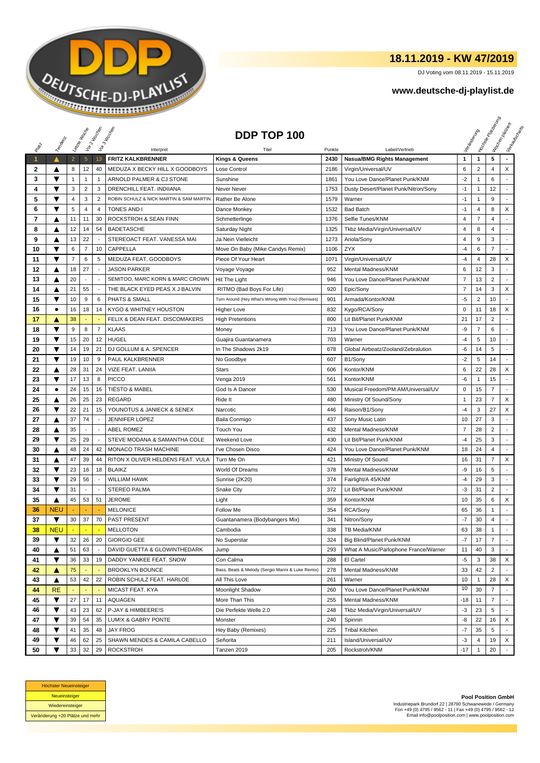

## **18.11.2019 - KW 47/2019**

DJ Voting vom 08.11.2019 - 15.11.2019

## **www.deutsche-dj-playlist.de**

|              |                         | Letzie Mochi   |                | Voir2 Moone              | Vor 3 Income                            | DDP TOP 100                                       |            |                                               |                |                | <b>H</b> oisse Papel | Workenberg<br>Verksunser<br>Mauricina |
|--------------|-------------------------|----------------|----------------|--------------------------|-----------------------------------------|---------------------------------------------------|------------|-----------------------------------------------|----------------|----------------|----------------------|---------------------------------------|
|              | Templatic               |                |                |                          |                                         |                                                   |            |                                               |                |                |                      |                                       |
| PRIM         |                         |                |                |                          | Interpret                               | Tite                                              | Punkte     | Label/Vertrieb                                |                |                |                      |                                       |
| 1            | ▲                       | $\overline{2}$ | $\overline{5}$ | 13                       | <b>FRITZ KALKBRENNER</b>                | <b>Kings &amp; Queens</b>                         | 2430       | <b>Nasua/BMG Rights Management</b>            | 1              | $\mathbf{1}$   | 5                    |                                       |
| $\mathbf{2}$ | ▲                       | 8              | 12             | 40                       | MEDUZA X BECKY HILL X GOODBOYS          | Lose Control                                      | 2186       | Virgin/Universal/UV                           | 6              | $\overline{2}$ | 4                    | X                                     |
| 3            | ▼                       | 1              | $\mathbf{1}$   | $\mathbf{1}$             | ARNOLD PALMER & CJ STONE                | Sunshine                                          | 1861       | You Love Dance/Planet Punk/KNM                | $-2$           | 1              | 6                    |                                       |
| 4            | ▼                       | 3              | $\overline{c}$ | 3                        | DRENCHILL FEAT. INDIIANA                | Never Never                                       | 1753       | Dusty Desert/Planet Punk/Nitron/Sony          | $-1$           | $\mathbf{1}$   | 12                   |                                       |
| 5            | ▼                       | 4              | 3              | $\overline{2}$           | ROBIN SCHULZ & NICK MARTIN & SAM MARTIN | Rather Be Alone                                   | 1579       | Warner                                        | $-1$           | 1              | 9                    |                                       |
| 6            | ▼                       | 5              | $\overline{4}$ | 4                        | <b>TONES AND</b>                        | Dance Monkey                                      | 1532       | <b>Bad Batch</b>                              | $-1$           | 4              | 8                    | X                                     |
| 7            | ▲                       | 11             | 11             | 30                       | ROCKSTROH & SEAN FINN                   | Schmetterlinge                                    | 1376       | Selfie Tunes/KNM                              | 4              | $\overline{7}$ | 4                    |                                       |
| 8            | ▲                       | 12             | 14             | 54                       | <b>BADETASCHE</b>                       | Saturday Night                                    | 1325       | Tkbz Media/Virgin/Universal/UV                | $\overline{4}$ | 8              | 4                    | ٠                                     |
| 9            | ▲                       | 13             | 22             |                          | STEREOACT FEAT. VANESSA MAI             | Ja Nein Vielleicht                                | 1273       | Ariola/Sony                                   | $\overline{4}$ | 9              | 3                    |                                       |
| 10           | ▼                       | 6              | $\overline{7}$ | 10                       | CAPPELLA                                | Move On Baby (Mike Candys Remix)                  | 1106       | <b>ZYX</b>                                    | -4             | 6              | $\overline{7}$       |                                       |
| 11           | ▼                       | $\overline{7}$ | 6              | 5                        | MEDUZA FEAT. GOODBOYS                   | Piece Of Your Heart                               | 1071       | Virgin/Universal/UV                           | $-4$           | 4              | 28                   | X                                     |
| 12           | ▲                       | 18             | 27             | $\overline{a}$           | JASON PARKER                            | Voyage Voyage                                     | 952        | Mental Madness/KNM                            | 6              | 12             | 3                    |                                       |
| 13           | ▲                       | 20             |                |                          | SEMITOO, MARC KORN & MARC CROWN         | Hit The Light                                     | 946        | You Love Dance/Planet Punk/KNM                | 7              | 13             | $\overline{2}$       |                                       |
| 14           | ▲                       | 21             | 55             |                          | THE BLACK EYED PEAS X J BALVIN          | RITMO (Bad Boys For Life)                         | 920        | Epic/Sony                                     | $\overline{7}$ | 14             | 3                    | X                                     |
| 15           | ▼                       | 10             | 9              | 6                        | PHATS & SMALL                           | Turn Around (Hey What's Wrong With You) (Remixes) | 901        | Armada/Kontor/KNM                             | $-5$           | $\overline{c}$ | 10                   | ÷.                                    |
| 16           | ٠                       | 16             | 18             | 14                       | KYGO & WHITNEY HOUSTON                  | Higher Love                                       | 832        | Kygo/RCA/Sony                                 | 0              | 11             | 18                   | X                                     |
| 17           | Δ                       | 38             |                |                          | FELIX & DEAN FEAT. DISCOMAKERS          | <b>High Pretentions</b>                           | 800        | Lit Bit/Planet Punk/KNM                       | 21             | 17             | $\overline{2}$       |                                       |
| 18           | ▼                       | 9              | 8              | $\overline{7}$           | <b>KLAAS</b>                            | Money                                             | 713        | You Love Dance/Planet Punk/KNM                | -9             | $\overline{7}$ | 6                    |                                       |
| 19           | ▼                       | 15             | 20             | 12                       | <b>HUGEL</b>                            | Guajira Guantanamera                              | 703        | Warner                                        | -4             | 5              | 10                   |                                       |
| 20           | $\overline{\textbf{v}}$ | 14             | 19             | 21                       | DJ GOLLUM & A. SPENCER                  | In The Shadows 2k19                               | 678        | Global Airbeatz/Zooland/Zebralution           | -6             | 14             | 5                    | ÷                                     |
| 21           | ▼                       | 19             | 10             | 9                        | PAUL KALKBRENNER                        | No Goodbye                                        | 607        | B1/Sony                                       | $-2$           | 5              | 14                   | ٠                                     |
| 22           | ▲                       | 28             | 31             | 24                       | VIZE FEAT. LANIIA                       | <b>Stars</b>                                      | 606        | Kontor/KNM                                    | 6              | 22             | 28                   | X                                     |
| 23           | ▼                       | 17             | 13             | 8                        | <b>PICCO</b>                            | Venga 2019                                        | 561        | Kontor/KNM                                    | -6             | $\mathbf{1}$   | 15                   |                                       |
| 24           | $\bullet$               | 24             | 15             | 16                       | <b>TIËSTO &amp; MABEL</b>               | God Is A Dancer                                   | 530        | Musical Freedom/PM:AM/Universal/UV            | 0              | 15             | 7                    | $\sim$                                |
| 25           | ▲                       | 26             | 25             | 23                       | <b>REGARD</b>                           | Ride It                                           | 480        | Ministry Of Sound/Sony                        | 1              | 23             | $\overline{7}$       | X                                     |
| 26           | ▼                       | 22             | 21             | 15                       | YOUNOTUS & JANIECK & SENEX              | Narcotic                                          | 446        | Raison/B1/Sony                                | $-4$           | 3              | 27                   | X                                     |
| 27           | ▲                       | 37             | 74             | $\overline{\phantom{a}}$ | <b>JENNIFER LOPEZ</b>                   | Baila Conmigo                                     | 437        | Sony Music Latin                              | 10             | 27             | 3                    | $\blacksquare$                        |
| 28           | ▲                       | 35             | Ξ              |                          | <b>ABEL ROMEZ</b>                       | Touch You                                         | 432        | Mental Madness/KNM                            | $\overline{7}$ | 28             | $\overline{c}$       |                                       |
| 29           | ▼                       | 25             | 29             |                          | STEVE MODANA & SAMANTHA COLE            | Weekend Love                                      | 430        | Lit Bit/Planet Punk/KNM                       | $-4$           | 25             | 3                    |                                       |
| 30           | Δ                       | 48             | 24             | 42                       | MONACO TRASH MACHINE                    | l've Chosen Disco                                 | 424        | You Love Dance/Planet Punk/KNM                | 18             | 24             | 4                    | $\overline{a}$                        |
| 31           | ▲                       | 47             | 39             | 44                       | RITON X OLIVER HELDENS FEAT. VULA       | Turn Me On                                        | 421        | Ministry Of Sound                             | 16             | 31             | 7                    | X                                     |
| 32           | ▼                       | 23             | 16             | 18                       | <b>BLAIKZ</b>                           | World Of Dreams                                   | 378        | Mental Madness/KNM                            | -9             | 16             | 5                    |                                       |
|              | ▼                       | 29             | 56             |                          | <b>WILLIAM HAWK</b>                     |                                                   | 374        |                                               | $-4$           | 29             | 3                    | $\overline{a}$                        |
| 33           | ▼                       | 31             | Ξ              |                          | <b>STEREO PALMA</b>                     | Sunrise (2K20)                                    |            | Fairlight/A 45/KNM<br>Lit Bit/Planet Punk/KNM | $-3$           |                | $\overline{c}$       | $\blacksquare$                        |
| 34           |                         |                |                |                          | <b>JEROME</b>                           | Snake City                                        | 372        |                                               |                | 31             |                      |                                       |
| 35           | ▲<br><b>NEU</b>         | 45             | 53             | 51                       | <b>MELONICE</b>                         | Light                                             | 359<br>354 | Kontor/KNM                                    | 10             | 35<br>36       | 6<br>$\mathbf{1}$    | X                                     |
| 36           |                         |                |                |                          |                                         | Follow Me                                         |            | RCA/Sony                                      | 65             |                |                      |                                       |
| 37           | ▼                       | 30             | 37             | 70                       | <b>PAST PRESENT</b>                     | Guantanamera (Bodybangers Mix)                    | 341        | Nitron/Sony                                   | $-7$           | 30             | 4                    | ÷                                     |
| 38           | <b>NEU</b>              |                |                |                          | <b>MELLOTON</b>                         | Cambodia                                          | 338        | TB Media/KNM                                  | 63<br>$-7$     | 38             | 1                    | $\overline{\phantom{a}}$<br>÷,        |
| 39           | ▼                       | 32             | 26             | 20                       | <b>GIORGIO GEE</b>                      | No Superstar                                      | 324        | Big Blind/Planet Punk/KNM                     |                | 17             | $\overline{7}$       |                                       |
| 40           | ▲                       | 51             | 63             |                          | DAVID GUETTA & GLOWINTHEDARK            | Jump                                              | 293        | What A Music/Parlophone France/Warner         | 11             | 40             | 3                    |                                       |
| 41           | ▼                       | 36             | 33             | 19                       | DADDY YANKEE FEAT. SNOW                 | Con Calma                                         | 288        | El Cartel                                     | -5             | 3              | 38                   | X                                     |
| 42           | ▲                       | 75             |                |                          | <b>BROOKLYN BOUNCE</b>                  | Bass, Beats & Melody (Sergio Marini & Luke Remix) | 278        | Mental Madness/KNM                            | 33             | 42             | $\overline{2}$       |                                       |
| 43           | ▲                       | 53             | 42             | 22                       | ROBIN SCHULZ FEAT. HARLOE               | All This Love                                     | 261        | Warner                                        | 10             | -1             | 28                   | X                                     |
| 44           | <b>RE</b>               |                |                |                          | MICAST FEAT. KYA                        | Moonlight Shadow                                  | 260        | You Love Dance/Planet Punk/KNM                | 10             | 30             | $\overline{7}$       |                                       |
| 45           | ▼                       | 27             | 17             | 11                       | AQUAGEN                                 | More Than This                                    | 255        | Mental Madness/KNM                            | $-18$          | 11             | $\overline{7}$       |                                       |
| 46           | ▼                       | 43             | 23             | 62                       | P-JAY & HIMBEERE!S                      | Die Perfekte Welle 2.0                            | 248        | Tkbz Media/Virgin/Universal/UV                | $-3$           | 23             | 5                    | $\blacksquare$                        |
| 47           | ▼                       | 39             | 54             | 35                       | LUM!X & GABRY PONTE                     | Monster                                           | 240        | Spinnin                                       | -8             | 22             | 16                   | X                                     |
| 48           | ▼                       | 41             | 35             | 48                       | <b>JAY FROG</b>                         | Hey Baby (Remixes)                                | 225        | <b>Tribal Kitchen</b>                         | $-7$           | 35             | 5                    |                                       |
| 49           | ▼                       | 46             | 62             | 25                       | SHAWN MENDES & CAMILA CABELLO           | Señorita                                          | 211        | Island/Universal/UV                           | $-3$           | 4              | 19                   | X                                     |
| 50           | ▼                       | 33             | 32             | 29                       | <b>ROCKSTROH</b>                        | Tanzen 2019                                       | 205        | Rockstroh/KNM                                 | $-17$          | 1              | 20                   |                                       |



**Pool Position GmbH** Industriepark Brundorf 22 | 28790 Schwanewede / Germany Fon +49 (0) 4795 / 9562 - 11 | Fax +49 (0) 4795 / 9562 - 12 Email info@poolposition.com | www.poolposition.com